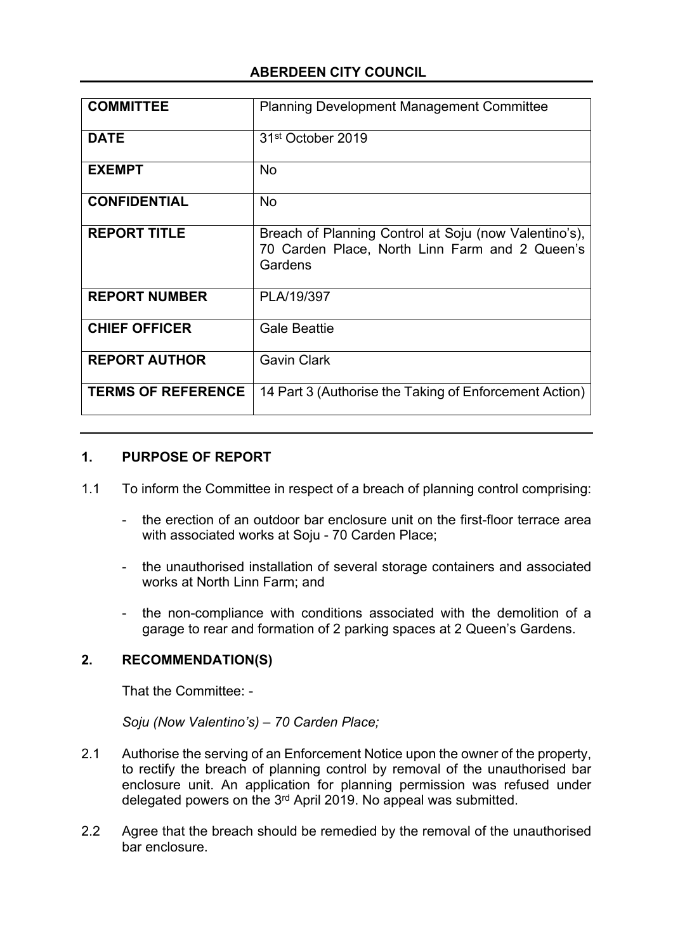# **ABERDEEN CITY COUNCIL**

| <b>COMMITTEE</b>          | <b>Planning Development Management Committee</b>                                                                   |
|---------------------------|--------------------------------------------------------------------------------------------------------------------|
| <b>DATE</b>               | 31 <sup>st</sup> October 2019                                                                                      |
| <b>EXEMPT</b>             | <b>No</b>                                                                                                          |
| <b>CONFIDENTIAL</b>       | <b>No</b>                                                                                                          |
| <b>REPORT TITLE</b>       | Breach of Planning Control at Soju (now Valentino's),<br>70 Carden Place, North Linn Farm and 2 Queen's<br>Gardens |
| <b>REPORT NUMBER</b>      | PLA/19/397                                                                                                         |
| <b>CHIEF OFFICER</b>      | <b>Gale Beattie</b>                                                                                                |
| <b>REPORT AUTHOR</b>      | <b>Gavin Clark</b>                                                                                                 |
| <b>TERMS OF REFERENCE</b> | 14 Part 3 (Authorise the Taking of Enforcement Action)                                                             |

## **1. PURPOSE OF REPORT**

- 1.1 To inform the Committee in respect of a breach of planning control comprising:
	- the erection of an outdoor bar enclosure unit on the first-floor terrace area with associated works at Soju - 70 Carden Place;
	- the unauthorised installation of several storage containers and associated works at North Linn Farm; and
	- the non-compliance with conditions associated with the demolition of a garage to rear and formation of 2 parking spaces at 2 Queen's Gardens.

# **2. RECOMMENDATION(S)**

That the Committee: -

*Soju (Now Valentino's) – 70 Carden Place;*

- 2.1 Authorise the serving of an Enforcement Notice upon the owner of the property, to rectify the breach of planning control by removal of the unauthorised bar enclosure unit. An application for planning permission was refused under delegated powers on the 3<sup>rd</sup> April 2019. No appeal was submitted.
- 2.2 Agree that the breach should be remedied by the removal of the unauthorised bar enclosure.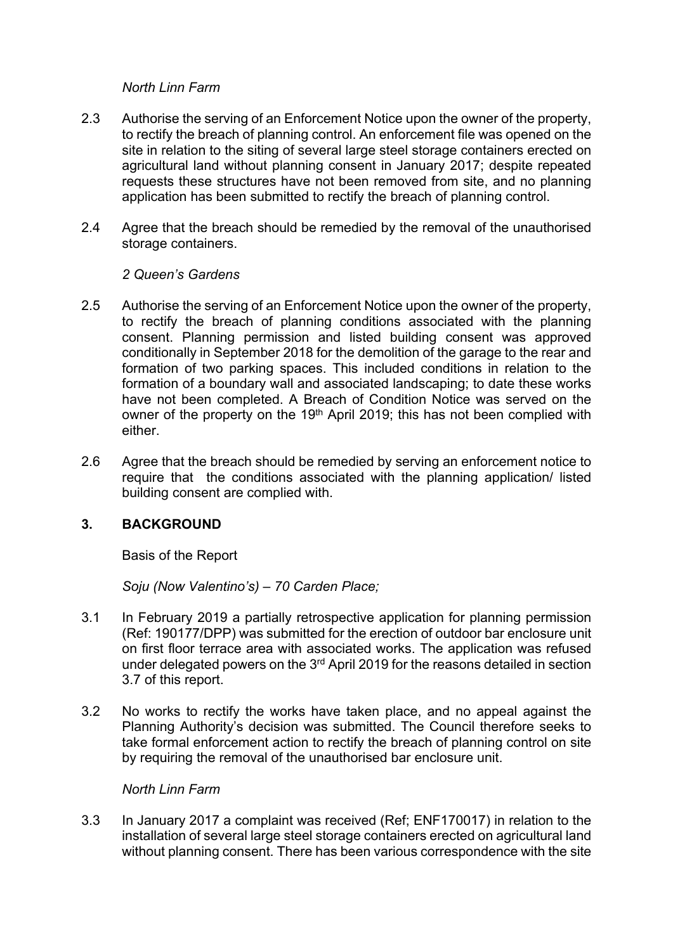#### *North Linn Farm*

- 2.3 Authorise the serving of an Enforcement Notice upon the owner of the property, to rectify the breach of planning control. An enforcement file was opened on the site in relation to the siting of several large steel storage containers erected on agricultural land without planning consent in January 2017; despite repeated requests these structures have not been removed from site, and no planning application has been submitted to rectify the breach of planning control.
- 2.4 Agree that the breach should be remedied by the removal of the unauthorised storage containers.

#### *2 Queen's Gardens*

- 2.5 Authorise the serving of an Enforcement Notice upon the owner of the property, to rectify the breach of planning conditions associated with the planning consent. Planning permission and listed building consent was approved conditionally in September 2018 for the demolition of the garage to the rear and formation of two parking spaces. This included conditions in relation to the formation of a boundary wall and associated landscaping; to date these works have not been completed. A Breach of Condition Notice was served on the owner of the property on the 19<sup>th</sup> April 2019; this has not been complied with either.
- 2.6 Agree that the breach should be remedied by serving an enforcement notice to require that the conditions associated with the planning application/ listed building consent are complied with.

## **3. BACKGROUND**

Basis of the Report

*Soju (Now Valentino's) – 70 Carden Place;*

- 3.1 In February 2019 a partially retrospective application for planning permission (Ref: 190177/DPP) was submitted for the erection of outdoor bar enclosure unit on first floor terrace area with associated works. The application was refused under delegated powers on the 3<sup>rd</sup> April 2019 for the reasons detailed in section 3.7 of this report.
- 3.2 No works to rectify the works have taken place, and no appeal against the Planning Authority's decision was submitted. The Council therefore seeks to take formal enforcement action to rectify the breach of planning control on site by requiring the removal of the unauthorised bar enclosure unit.

#### *North Linn Farm*

3.3 In January 2017 a complaint was received (Ref; ENF170017) in relation to the installation of several large steel storage containers erected on agricultural land without planning consent. There has been various correspondence with the site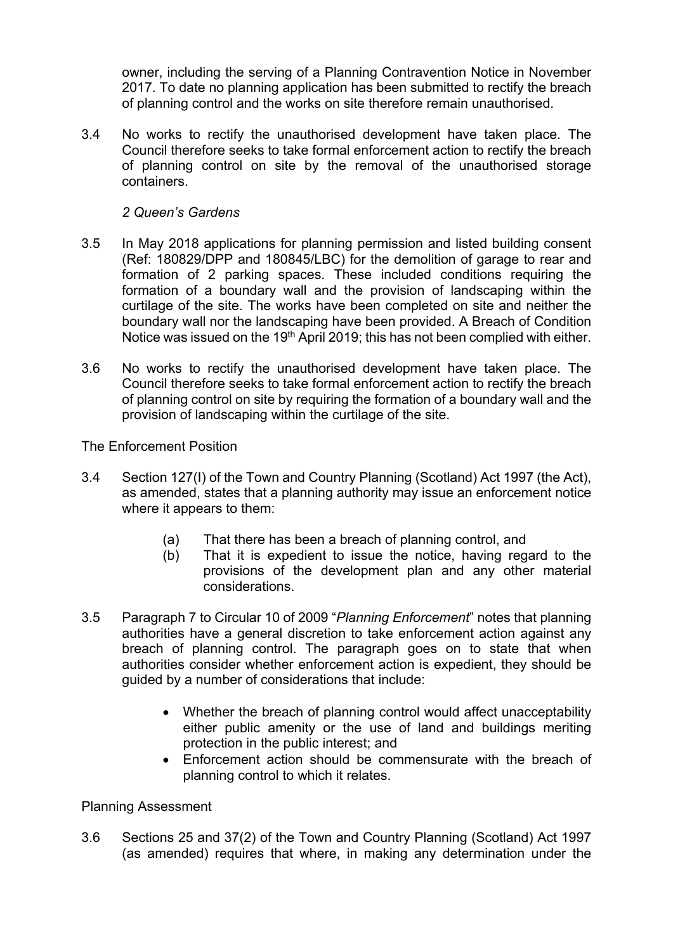owner, including the serving of a Planning Contravention Notice in November 2017. To date no planning application has been submitted to rectify the breach of planning control and the works on site therefore remain unauthorised.

3.4 No works to rectify the unauthorised development have taken place. The Council therefore seeks to take formal enforcement action to rectify the breach of planning control on site by the removal of the unauthorised storage containers.

#### *2 Queen's Gardens*

- 3.5 In May 2018 applications for planning permission and listed building consent (Ref: 180829/DPP and 180845/LBC) for the demolition of garage to rear and formation of 2 parking spaces. These included conditions requiring the formation of a boundary wall and the provision of landscaping within the curtilage of the site. The works have been completed on site and neither the boundary wall nor the landscaping have been provided. A Breach of Condition Notice was issued on the 19<sup>th</sup> April 2019; this has not been complied with either.
- 3.6 No works to rectify the unauthorised development have taken place. The Council therefore seeks to take formal enforcement action to rectify the breach of planning control on site by requiring the formation of a boundary wall and the provision of landscaping within the curtilage of the site.

The Enforcement Position

- 3.4 Section 127(I) of the Town and Country Planning (Scotland) Act 1997 (the Act), as amended, states that a planning authority may issue an enforcement notice where it appears to them:
	- (a) That there has been a breach of planning control, and
	- (b) That it is expedient to issue the notice, having regard to the provisions of the development plan and any other material considerations.
- 3.5 Paragraph 7 to Circular 10 of 2009 "*Planning Enforcement*" notes that planning authorities have a general discretion to take enforcement action against any breach of planning control. The paragraph goes on to state that when authorities consider whether enforcement action is expedient, they should be guided by a number of considerations that include:
	- Whether the breach of planning control would affect unacceptability either public amenity or the use of land and buildings meriting protection in the public interest; and
	- Enforcement action should be commensurate with the breach of planning control to which it relates.

Planning Assessment

3.6 Sections 25 and 37(2) of the Town and Country Planning (Scotland) Act 1997 (as amended) requires that where, in making any determination under the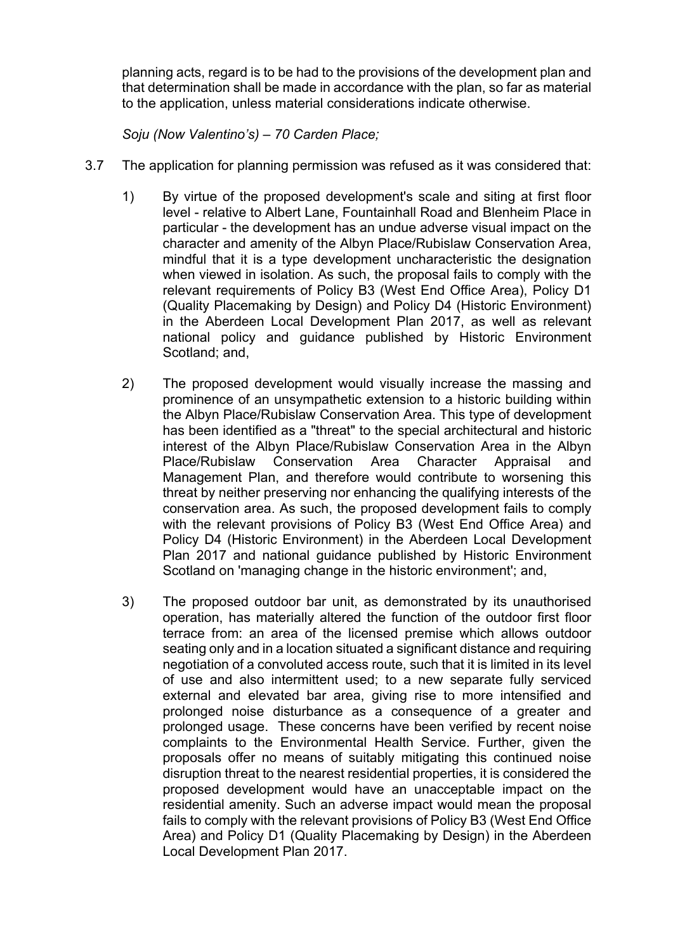planning acts, regard is to be had to the provisions of the development plan and that determination shall be made in accordance with the plan, so far as material to the application, unless material considerations indicate otherwise.

*Soju (Now Valentino's) – 70 Carden Place;*

- 3.7 The application for planning permission was refused as it was considered that:
	- 1) By virtue of the proposed development's scale and siting at first floor level - relative to Albert Lane, Fountainhall Road and Blenheim Place in particular - the development has an undue adverse visual impact on the character and amenity of the Albyn Place/Rubislaw Conservation Area, mindful that it is a type development uncharacteristic the designation when viewed in isolation. As such, the proposal fails to comply with the relevant requirements of Policy B3 (West End Office Area), Policy D1 (Quality Placemaking by Design) and Policy D4 (Historic Environment) in the Aberdeen Local Development Plan 2017, as well as relevant national policy and guidance published by Historic Environment Scotland; and,
	- 2) The proposed development would visually increase the massing and prominence of an unsympathetic extension to a historic building within the Albyn Place/Rubislaw Conservation Area. This type of development has been identified as a "threat" to the special architectural and historic interest of the Albyn Place/Rubislaw Conservation Area in the Albyn Place/Rubislaw Conservation Area Character Appraisal and Management Plan, and therefore would contribute to worsening this threat by neither preserving nor enhancing the qualifying interests of the conservation area. As such, the proposed development fails to comply with the relevant provisions of Policy B3 (West End Office Area) and Policy D4 (Historic Environment) in the Aberdeen Local Development Plan 2017 and national guidance published by Historic Environment Scotland on 'managing change in the historic environment'; and,
	- 3) The proposed outdoor bar unit, as demonstrated by its unauthorised operation, has materially altered the function of the outdoor first floor terrace from: an area of the licensed premise which allows outdoor seating only and in a location situated a significant distance and requiring negotiation of a convoluted access route, such that it is limited in its level of use and also intermittent used; to a new separate fully serviced external and elevated bar area, giving rise to more intensified and prolonged noise disturbance as a consequence of a greater and prolonged usage. These concerns have been verified by recent noise complaints to the Environmental Health Service. Further, given the proposals offer no means of suitably mitigating this continued noise disruption threat to the nearest residential properties, it is considered the proposed development would have an unacceptable impact on the residential amenity. Such an adverse impact would mean the proposal fails to comply with the relevant provisions of Policy B3 (West End Office Area) and Policy D1 (Quality Placemaking by Design) in the Aberdeen Local Development Plan 2017.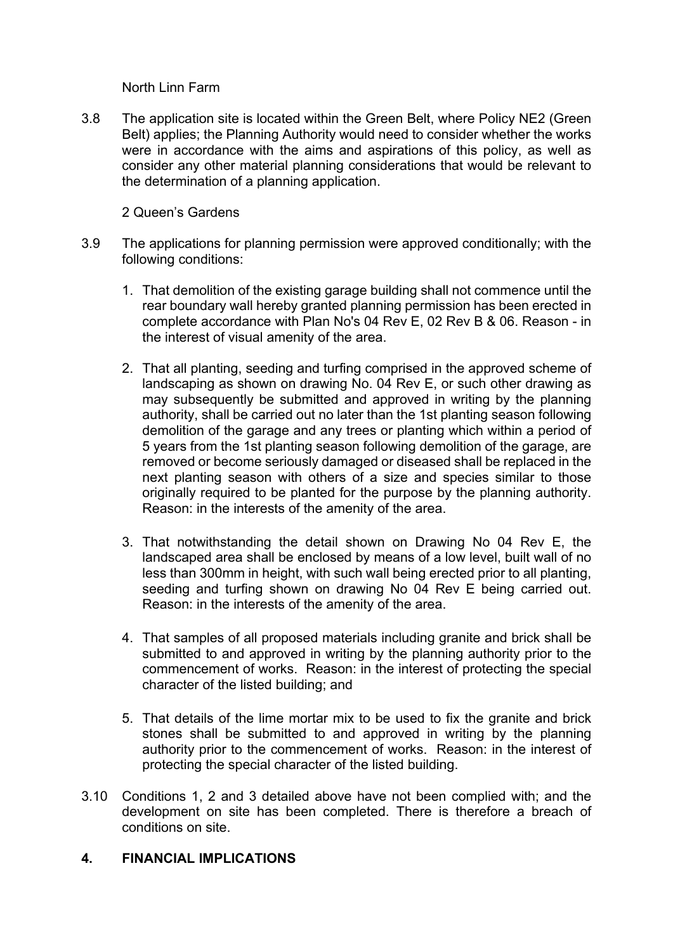North Linn Farm

3.8 The application site is located within the Green Belt, where Policy NE2 (Green Belt) applies; the Planning Authority would need to consider whether the works were in accordance with the aims and aspirations of this policy, as well as consider any other material planning considerations that would be relevant to the determination of a planning application.

#### 2 Queen's Gardens

- 3.9 The applications for planning permission were approved conditionally; with the following conditions:
	- 1. That demolition of the existing garage building shall not commence until the rear boundary wall hereby granted planning permission has been erected in complete accordance with Plan No's 04 Rev E, 02 Rev B & 06. Reason - in the interest of visual amenity of the area.
	- 2. That all planting, seeding and turfing comprised in the approved scheme of landscaping as shown on drawing No. 04 Rev E, or such other drawing as may subsequently be submitted and approved in writing by the planning authority, shall be carried out no later than the 1st planting season following demolition of the garage and any trees or planting which within a period of 5 years from the 1st planting season following demolition of the garage, are removed or become seriously damaged or diseased shall be replaced in the next planting season with others of a size and species similar to those originally required to be planted for the purpose by the planning authority. Reason: in the interests of the amenity of the area.
	- 3. That notwithstanding the detail shown on Drawing No 04 Rev E, the landscaped area shall be enclosed by means of a low level, built wall of no less than 300mm in height, with such wall being erected prior to all planting, seeding and turfing shown on drawing No 04 Rev E being carried out. Reason: in the interests of the amenity of the area.
	- 4. That samples of all proposed materials including granite and brick shall be submitted to and approved in writing by the planning authority prior to the commencement of works. Reason: in the interest of protecting the special character of the listed building; and
	- 5. That details of the lime mortar mix to be used to fix the granite and brick stones shall be submitted to and approved in writing by the planning authority prior to the commencement of works. Reason: in the interest of protecting the special character of the listed building.
- 3.10 Conditions 1, 2 and 3 detailed above have not been complied with; and the development on site has been completed. There is therefore a breach of conditions on site.

#### **4. FINANCIAL IMPLICATIONS**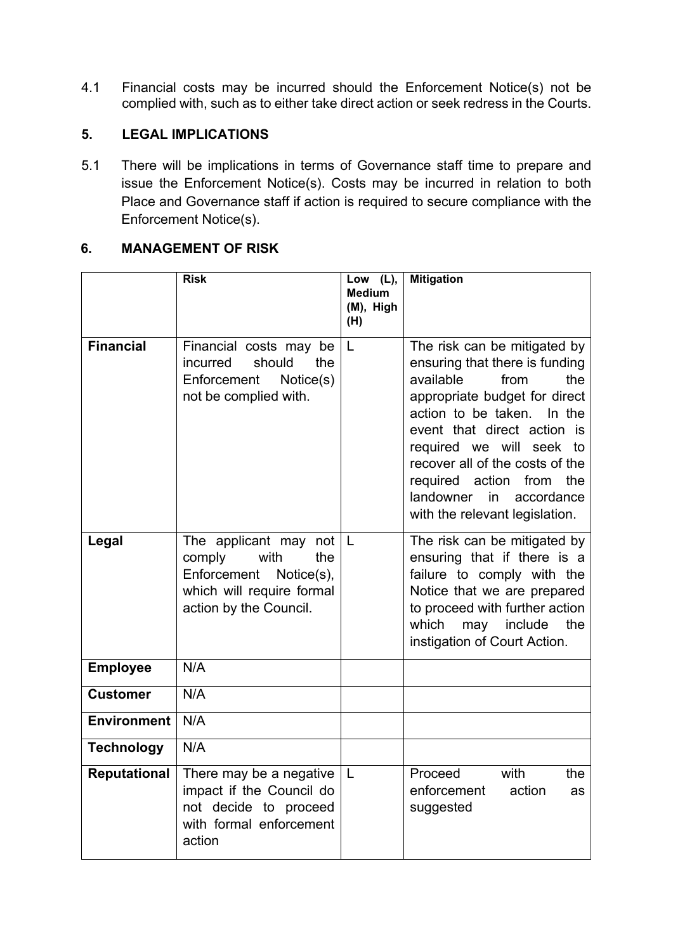4.1 Financial costs may be incurred should the Enforcement Notice(s) not be complied with, such as to either take direct action or seek redress in the Courts.

# **5. LEGAL IMPLICATIONS**

5.1 There will be implications in terms of Governance staff time to prepare and issue the Enforcement Notice(s). Costs may be incurred in relation to both Place and Governance staff if action is required to secure compliance with the Enforcement Notice(s).

## **6. MANAGEMENT OF RISK**

|                     | <b>Risk</b>                                                                                                                            | Low (L),<br><b>Medium</b><br>(M), High<br>(H) | <b>Mitigation</b>                                                                                                                                                                                                                                                                                                                                                |
|---------------------|----------------------------------------------------------------------------------------------------------------------------------------|-----------------------------------------------|------------------------------------------------------------------------------------------------------------------------------------------------------------------------------------------------------------------------------------------------------------------------------------------------------------------------------------------------------------------|
| <b>Financial</b>    | Financial costs may be<br>should<br>the<br>incurred<br>Enforcement<br>Notice(s)<br>not be complied with.                               | L                                             | The risk can be mitigated by<br>ensuring that there is funding<br>available<br>from<br>the<br>appropriate budget for direct<br>action to be taken.<br>In the<br>event that direct action is<br>required we will seek to<br>recover all of the costs of the<br>the<br>required action<br>from<br>landowner<br>in.<br>accordance<br>with the relevant legislation. |
| Legal               | The applicant may not<br>with<br>the<br>comply<br>Enforcement<br>Notice $(s)$ ,<br>which will require formal<br>action by the Council. | L                                             | The risk can be mitigated by<br>ensuring that if there is a<br>failure to comply with the<br>Notice that we are prepared<br>to proceed with further action<br>which<br>may<br>include<br>the<br>instigation of Court Action.                                                                                                                                     |
| <b>Employee</b>     | N/A                                                                                                                                    |                                               |                                                                                                                                                                                                                                                                                                                                                                  |
| <b>Customer</b>     | N/A                                                                                                                                    |                                               |                                                                                                                                                                                                                                                                                                                                                                  |
| <b>Environment</b>  | N/A                                                                                                                                    |                                               |                                                                                                                                                                                                                                                                                                                                                                  |
| <b>Technology</b>   | N/A                                                                                                                                    |                                               |                                                                                                                                                                                                                                                                                                                                                                  |
| <b>Reputational</b> | There may be a negative<br>impact if the Council do<br>not decide to proceed<br>with formal enforcement<br>action                      | L                                             | Proceed<br>with<br>the<br>enforcement<br>action<br>as<br>suggested                                                                                                                                                                                                                                                                                               |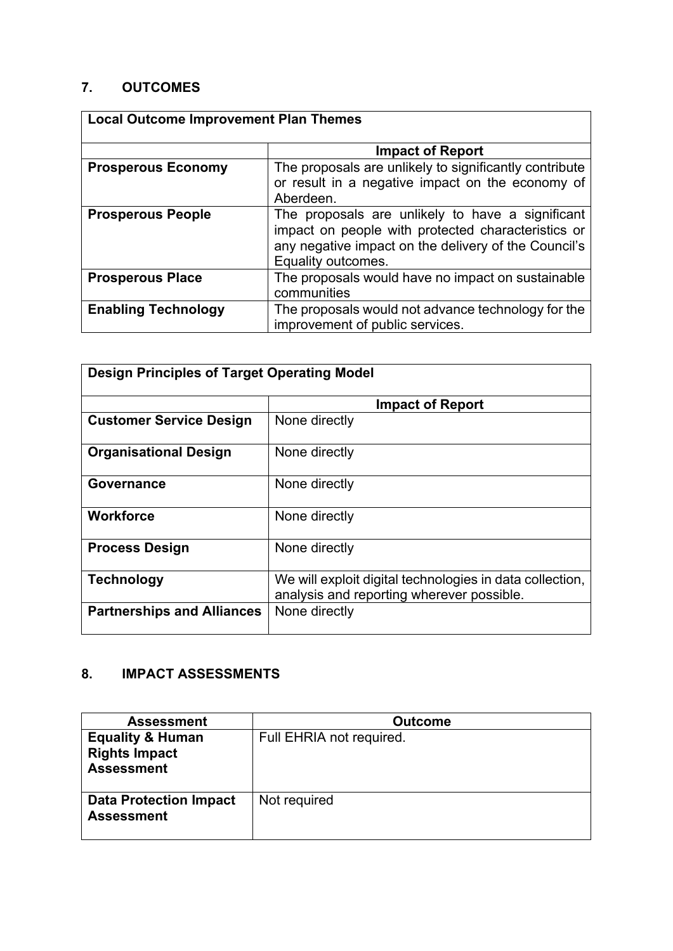# **7. OUTCOMES**

| <b>Local Outcome Improvement Plan Themes</b> |                                                                                                                                                                                      |  |
|----------------------------------------------|--------------------------------------------------------------------------------------------------------------------------------------------------------------------------------------|--|
|                                              | <b>Impact of Report</b>                                                                                                                                                              |  |
| <b>Prosperous Economy</b>                    | The proposals are unlikely to significantly contribute<br>or result in a negative impact on the economy of<br>Aberdeen.                                                              |  |
| <b>Prosperous People</b>                     | The proposals are unlikely to have a significant<br>impact on people with protected characteristics or<br>any negative impact on the delivery of the Council's<br>Equality outcomes. |  |
| <b>Prosperous Place</b>                      | The proposals would have no impact on sustainable<br>communities                                                                                                                     |  |
| <b>Enabling Technology</b>                   | The proposals would not advance technology for the<br>improvement of public services.                                                                                                |  |

| <b>Design Principles of Target Operating Model</b> |                                                                                                       |  |
|----------------------------------------------------|-------------------------------------------------------------------------------------------------------|--|
|                                                    | <b>Impact of Report</b>                                                                               |  |
| <b>Customer Service Design</b>                     | None directly                                                                                         |  |
| <b>Organisational Design</b>                       | None directly                                                                                         |  |
| Governance                                         | None directly                                                                                         |  |
| <b>Workforce</b>                                   | None directly                                                                                         |  |
| <b>Process Design</b>                              | None directly                                                                                         |  |
| <b>Technology</b>                                  | We will exploit digital technologies in data collection,<br>analysis and reporting wherever possible. |  |
| <b>Partnerships and Alliances</b>                  | None directly                                                                                         |  |

# **8. IMPACT ASSESSMENTS**

| <b>Assessment</b>                                                        | <b>Outcome</b>           |
|--------------------------------------------------------------------------|--------------------------|
| <b>Equality &amp; Human</b><br><b>Rights Impact</b><br><b>Assessment</b> | Full EHRIA not required. |
| <b>Data Protection Impact</b><br><b>Assessment</b>                       | Not required             |